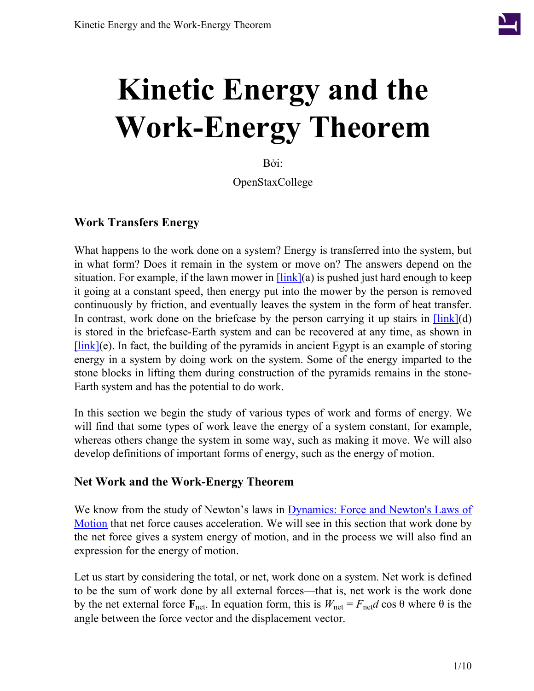

# **Kinetic Energy and the Work-Energy Theorem**

Bởi:

OpenStaxCollege

#### **Work Transfers Energy**

What happens to the work done on a system? Energy is transferred into the system, but in what form? Does it remain in the system or move on? The answers depend on the situation. For example, if the lawn mower in  $[\text{link}](a)$  is pushed just hard enough to keep it going at a constant speed, then energy put into the mower by the person is removed continuously by friction, and eventually leaves the system in the form of heat transfer. In contrast, work done on the briefcase by the person carrying it up stairs in  $[\text{link}](d)$ is stored in the briefcase-Earth system and can be recovered at any time, as shown in  $[\text{link}](e)$ . In fact, the building of the pyramids in ancient Egypt is an example of storing energy in a system by doing work on the system. Some of the energy imparted to the stone blocks in lifting them during construction of the pyramids remains in the stone-Earth system and has the potential to do work.

In this section we begin the study of various types of work and forms of energy. We will find that some types of work leave the energy of a system constant, for example, whereas others change the system in some way, such as making it move. We will also develop definitions of important forms of energy, such as the energy of motion.

#### **Net Work and the Work-Energy Theorem**

We know from the study of Newton's laws in [Dynamics:](/m42129) Force and Newton's Laws of [Motion](/m42129) that net force causes acceleration. We will see in this section that work done by the net force gives a system energy of motion, and in the process we will also find an expression for the energy of motion.

Let us start by considering the total, or net, work done on a system. Net work is defined to be the sum of work done by all external forces—that is, net work is the work done by the net external force **F**<sub>net</sub>. In equation form, this is  $W_{net} = F_{net}d \cos \theta$  where θ is the angle between the force vector and the displacement vector.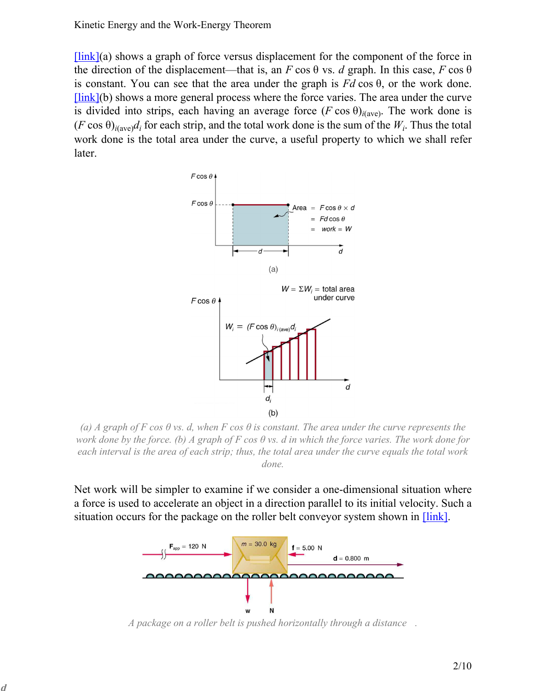Kinetic Energy and the Work-Energy Theorem

<span id="page-1-0"></span> $[\text{link}](a)$  shows a graph of force versus displacement for the component of the force in the direction of the displacement—that is, an  $F \cos \theta$  vs. *d* graph. In this case,  $F \cos \theta$ is constant. You can see that the area under the graph is  $Fd \cos \theta$ , or the work done.  $[\text{link}](b)$  shows a more general process where the force varies. The area under the curve is divided into strips, each having an average force  $(F \cos \theta)_{i(\text{ave})}$ . The work done is  $(F \cos \theta)_{i(\text{ave})} d_i$  for each strip, and the total work done is the sum of the  $W_i$ . Thus the total work done is the total area under the curve, a useful property to which we shall refer later.



*(a) A graph of F cos θ vs. d, when F cos θ is constant. The area under the curve represents the work done by the force. (b) A graph of F cos θ vs. d in which the force varies. The work done for each interval is the area of each strip; thus, the total area under the curve equals the total work done.*

<span id="page-1-1"></span>Net work will be simpler to examine if we consider a one-dimensional situation where a force is used to accelerate an object in a direction parallel to its initial velocity. Such a situation occurs for the package on the roller belt conveyor system shown in [\[link\].](#page-1-1)



*A package on a roller belt is pushed horizontally through a distance .*

**d**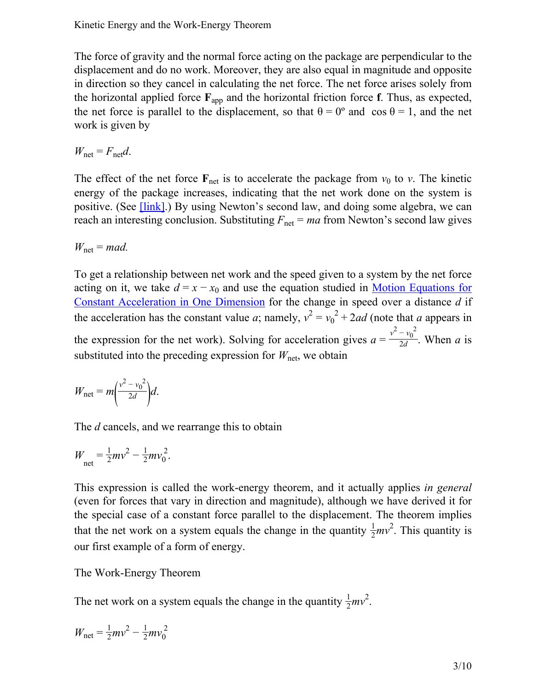The force of gravity and the normal force acting on the package are perpendicular to the displacement and do no work. Moreover, they are also equal in magnitude and opposite in direction so they cancel in calculating the net force. The net force arises solely from the horizontal applied force  $\mathbf{F}_{app}$  and the horizontal friction force **f**. Thus, as expected, the net force is parallel to the displacement, so that  $\theta = 0^{\circ}$  and cos  $\theta = 1$ , and the net work is given by

$$
W_{\text{net}} = F_{\text{net}}d.
$$

The effect of the net force  $\mathbf{F}_{\text{net}}$  is to accelerate the package from  $v_0$  to *v*. The kinetic energy of the package increases, indicating that the net work done on the system is positive. (See [\[link\]](#page-3-0).) By using Newton's second law, and doing some algebra, we can reach an interesting conclusion. Substituting  $F_{\text{net}} = ma$  from Newton's second law gives

 $W_{\text{net}} = mad.$ 

To get a relationship between net work and the speed given to a system by the net force acting on it, we take  $d = x - x_0$  and use the equation studied in Motion [Equations](/m42099) for Constant [Acceleration](/m42099) in One Dimension for the change in speed over a distance *d* if the acceleration has the constant value *a*; namely,  $v^2 = v_0^2 + 2ad$  (note that *a* appears in the expression for the net work). Solving for acceleration gives  $a = \frac{v^2 - v_0^2}{2d}$  $\frac{v_0}{2d}$ . When *a* is substituted into the preceding expression for  $W_{\text{net}}$ , we obtain

$$
W_{\text{net}} = m \left( \frac{v^2 - v_0^2}{2d} \right) d.
$$

The *d* cancels, and we rearrange this to obtain

$$
W_{\text{net}} = \frac{1}{2}mv^2 - \frac{1}{2}mv_0^2.
$$

This expression is called the work-energy theorem, and it actually applies *in general* (even for forces that vary in direction and magnitude), although we have derived it for the special case of a constant force parallel to the displacement. The theorem implies that the net work on a system equals the change in the quantity  $\frac{1}{2}mv^2$ . This quantity is our first example of a form of energy.

The Work-Energy Theorem

The net work on a system equals the change in the quantity  $\frac{1}{2}mv^2$ .

 $W_{\text{net}} = \frac{1}{2}mv^2 - \frac{1}{2}mv_0^2$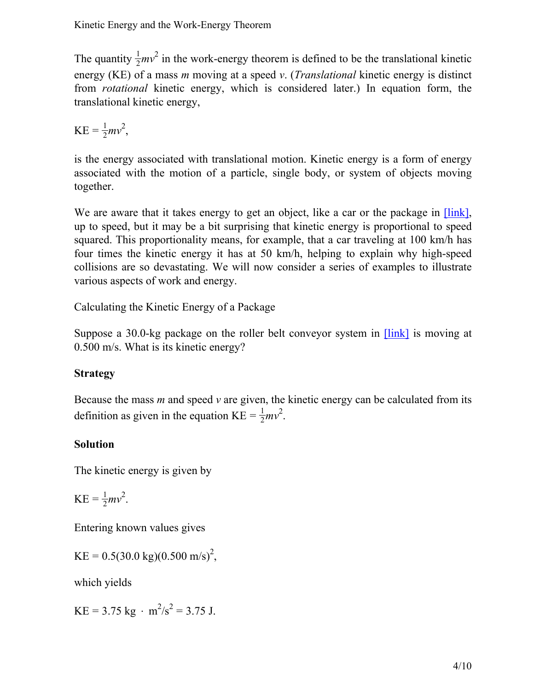The quantity  $\frac{1}{2}mv^2$  in the work-energy theorem is defined to be the translational kinetic energy (KE) of a mass *m* moving at a speed *v*. (*Translational* kinetic energy is distinct from *rotational* kinetic energy, which is considered later.) In equation form, the translational kinetic energy,

$$
KE = \frac{1}{2}mv^2,
$$

is the energy associated with translational motion. Kinetic energy is a form of energy associated with the motion of a particle, single body, or system of objects moving together.

We are aware that it takes energy to get an object, like a car or the package in [\[link\],](#page-1-1) up to speed, but it may be a bit surprising that kinetic energy is proportional to speed squared. This proportionality means, for example, that a car traveling at 100 km/h has four times the kinetic energy it has at 50 km/h, helping to explain why high-speed collisions are so devastating. We will now consider a series of examples to illustrate various aspects of work and energy.

<span id="page-3-0"></span>Calculating the Kinetic Energy of a Package

Suppose a 30.0-kg package on the roller belt conveyor system in  $[\text{link}]$  is moving at 0.500 m/s. What is its kinetic energy?

#### **Strategy**

Because the mass  $m$  and speed  $v$  are given, the kinetic energy can be calculated from its definition as given in the equation  $KE = \frac{1}{2}mv^2$ .

#### **Solution**

The kinetic energy is given by

$$
KE = \frac{1}{2}mv^2.
$$

Entering known values gives

 $KE = 0.5(30.0 \text{ kg})(0.500 \text{ m/s})^2$ ,

which yields

 $KE = 3.75$  kg · m<sup>2</sup>/s<sup>2</sup> = 3.75 J.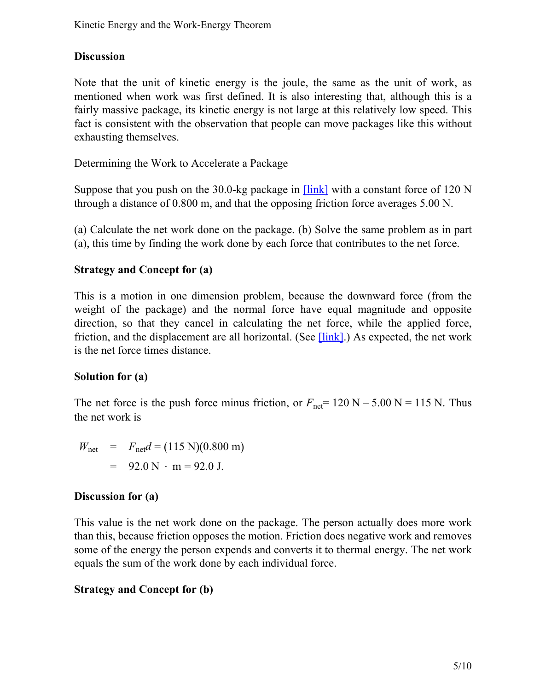#### **Discussion**

Note that the unit of kinetic energy is the joule, the same as the unit of work, as mentioned when work was first defined. It is also interesting that, although this is a fairly massive package, its kinetic energy is not large at this relatively low speed. This fact is consistent with the observation that people can move packages like this without exhausting themselves.

Determining the Work to Accelerate a Package

Suppose that you push on the 30.0-kg package in  $[link]$  with a constant force of 120 N through a distance of 0.800 m, and that the opposing friction force averages 5.00 N.

(a) Calculate the net work done on the package. (b) Solve the same problem as in part (a), this time by finding the work done by each force that contributes to the net force.

#### **Strategy and Concept for (a)**

This is a motion in one dimension problem, because the downward force (from the weight of the package) and the normal force have equal magnitude and opposite direction, so that they cancel in calculating the net force, while the applied force, friction, and the displacement are all horizontal. (See  $\overline{\text{link}}$ ) As expected, the net work is the net force times distance.

#### **Solution for (a)**

The net force is the push force minus friction, or  $F_{\text{net}}$  = 120 N – 5.00 N = 115 N. Thus the net work is

$$
W_{\text{net}}
$$
 =  $F_{\text{net}}d = (115 \text{ N})(0.800 \text{ m})$   
= 92.0 N · m = 92.0 J.

#### **Discussion for (a)**

This value is the net work done on the package. The person actually does more work than this, because friction opposes the motion. Friction does negative work and removes some of the energy the person expends and converts it to thermal energy. The net work equals the sum of the work done by each individual force.

#### **Strategy and Concept for (b)**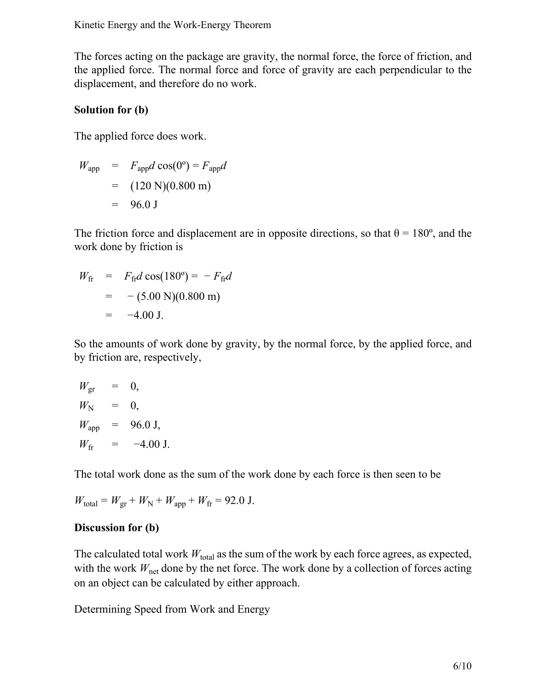The forces acting on the package are gravity, the normal force, the force of friction, and the applied force. The normal force and force of gravity are each perpendicular to the displacement, and therefore do no work.

#### **Solution for (b)**

The applied force does work.

$$
W_{\text{app}} = F_{\text{app}}d\cos(0^{\circ}) = F_{\text{app}}d
$$
  
= (120 N)(0.800 m)  
= 96.0 J

The friction force and displacement are in opposite directions, so that  $\theta = 180^{\circ}$ , and the work done by friction is

$$
W_{\text{fr}} = F_{\text{fr}}d \cos(180^\circ) = -F_{\text{fr}}d
$$
  
= -(5.00 N)(0.800 m)  
= -4.00 J.

So the amounts of work done by gravity, by the normal force, by the applied force, and by friction are, respectively,

$$
W_{\text{gr}} = 0,
$$
  
\n
$$
W_{\text{N}} = 0,
$$
  
\n
$$
W_{\text{app}} = 96.0 \text{ J},
$$
  
\n
$$
W_{\text{fr}} = -4.00 \text{ J}.
$$

The total work done as the sum of the work done by each force is then seen to be

$$
W_{\text{total}} = W_{\text{gr}} + W_{\text{N}} + W_{\text{app}} + W_{\text{fr}} = 92.0 \text{ J}.
$$

#### **Discussion for (b)**

The calculated total work  $W_{total}$  as the sum of the work by each force agrees, as expected, with the work  $W_{\text{net}}$  done by the net force. The work done by a collection of forces acting on an object can be calculated by either approach.

<span id="page-5-0"></span>Determining Speed from Work and Energy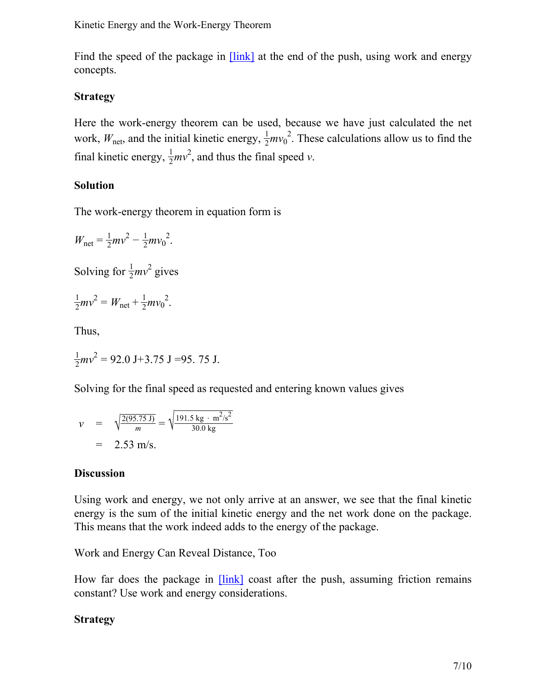Find the speed of the package in **[\[link\]](#page-1-1)** at the end of the push, using work and energy concepts.

#### **Strategy**

Here the work-energy theorem can be used, because we have just calculated the net work,  $W_{\text{net}}$ , and the initial kinetic energy,  $\frac{1}{2}mv_0^2$ . These calculations allow us to find the final kinetic energy,  $\frac{1}{2}mv^2$ , and thus the final speed *v*.

#### **Solution**

The work-energy theorem in equation form is

$$
W_{\text{net}} = \frac{1}{2}mv^2 - \frac{1}{2}mv_0^2.
$$

Solving for  $\frac{1}{2}mv^2$  gives

$$
\frac{1}{2}mv^2 = W_{\text{net}} + \frac{1}{2}mv_0^2.
$$

Thus,

$$
\frac{1}{2}mv^2 = 92.0 \text{ J} + 3.75 \text{ J} = 95.75 \text{ J}.
$$

Solving for the final speed as requested and entering known values gives

$$
v = \sqrt{\frac{2(95.75 \text{ J})}{m}} = \sqrt{\frac{191.5 \text{ kg} \cdot \text{m}^2/\text{s}^2}{30.0 \text{ kg}}}
$$
  
= 2.53 m/s.

#### **Discussion**

Using work and energy, we not only arrive at an answer, we see that the final kinetic energy is the sum of the initial kinetic energy and the net work done on the package. This means that the work indeed adds to the energy of the package.

Work and Energy Can Reveal Distance, Too

How far does the package in  $[\text{link}]$  coast after the push, assuming friction remains constant? Use work and energy considerations.

#### **Strategy**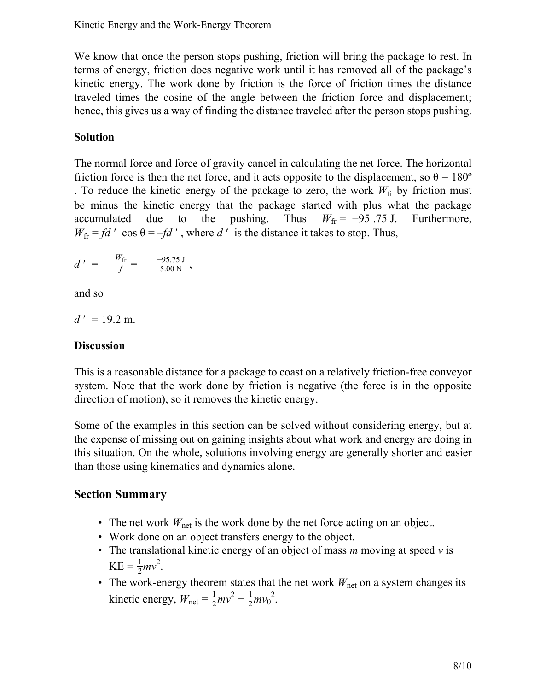We know that once the person stops pushing, friction will bring the package to rest. In terms of energy, friction does negative work until it has removed all of the package's kinetic energy. The work done by friction is the force of friction times the distance traveled times the cosine of the angle between the friction force and displacement; hence, this gives us a way of finding the distance traveled after the person stops pushing.

#### **Solution**

The normal force and force of gravity cancel in calculating the net force. The horizontal friction force is then the net force, and it acts opposite to the displacement, so  $\theta = 180^{\circ}$ . To reduce the kinetic energy of the package to zero, the work  $W_{\text{fr}}$  by friction must be minus the kinetic energy that the package started with plus what the package accumulated due to the pushing. Thus  $W_{\text{fr}} = -95.75 \text{ J}$ . Furthermore,  $W_{\text{fr}} = fd'$  cos  $\theta = -fd'$ , where *d*' is the distance it takes to stop. Thus,

$$
d' = -\frac{W_{\text{fr}}}{f} = -\frac{-95.75 \text{ J}}{5.00 \text{ N}},
$$

and so

 $d' = 19.2$  m.

#### **Discussion**

This is a reasonable distance for a package to coast on a relatively friction-free conveyor system. Note that the work done by friction is negative (the force is in the opposite direction of motion), so it removes the kinetic energy.

Some of the examples in this section can be solved without considering energy, but at the expense of missing out on gaining insights about what work and energy are doing in this situation. On the whole, solutions involving energy are generally shorter and easier than those using kinematics and dynamics alone.

#### **Section Summary**

- The net work  $W_{\text{net}}$  is the work done by the net force acting on an object.
- Work done on an object transfers energy to the object.
- The translational kinetic energy of an object of mass *m* moving at speed *v* is  $KE = \frac{1}{2}mv^2$ .
- The work-energy theorem states that the net work  $W_{\text{net}}$  on a system changes its kinetic energy,  $W_{\text{net}} = \frac{1}{2}mv^2 - \frac{1}{2}mv_0^2$ .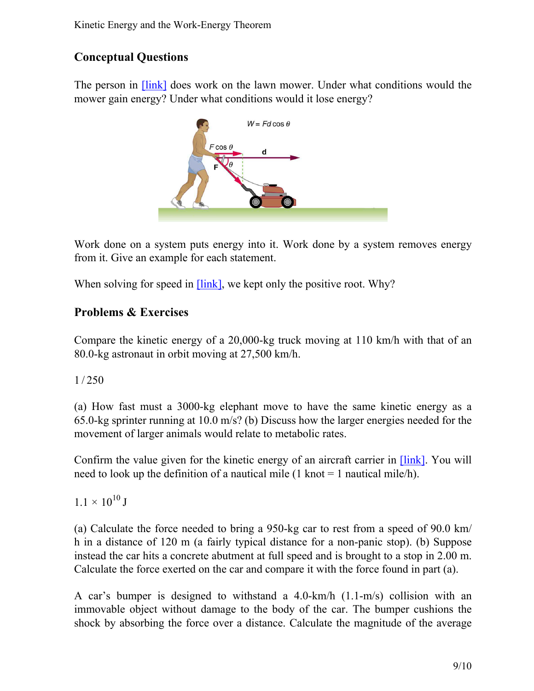# **Conceptual Questions**

<span id="page-8-0"></span>The person in **[\[link\]](#page-8-0)** does work on the lawn mower. Under what conditions would the mower gain energy? Under what conditions would it lose energy?



Work done on a system puts energy into it. Work done by a system removes energy from it. Give an example for each statement.

When solving for speed in  $[\text{link}]$ , we kept only the positive root. Why?

### **Problems & Exercises**

Compare the kinetic energy of a 20,000-kg truck moving at 110 km/h with that of an 80.0-kg astronaut in orbit moving at 27,500 km/h.

1 / 250

(a) How fast must a 3000-kg elephant move to have the same kinetic energy as a 65.0-kg sprinter running at 10.0 m/s? (b) Discuss how the larger energies needed for the movement of larger animals would relate to metabolic rates.

Confirm the value given for the kinetic energy of an aircraft carrier in **[link]**. You will need to look up the definition of a nautical mile  $(1 \text{ knot} = 1 \text{ nautical mile/h}).$ 

 $1.1 \times 10^{10}$  J

(a) Calculate the force needed to bring a 950-kg car to rest from a speed of 90.0 km/ h in a distance of 120 m (a fairly typical distance for a non-panic stop). (b) Suppose instead the car hits a concrete abutment at full speed and is brought to a stop in 2.00 m. Calculate the force exerted on the car and compare it with the force found in part (a).

A car's bumper is designed to withstand a 4.0-km/h (1.1-m/s) collision with an immovable object without damage to the body of the car. The bumper cushions the shock by absorbing the force over a distance. Calculate the magnitude of the average